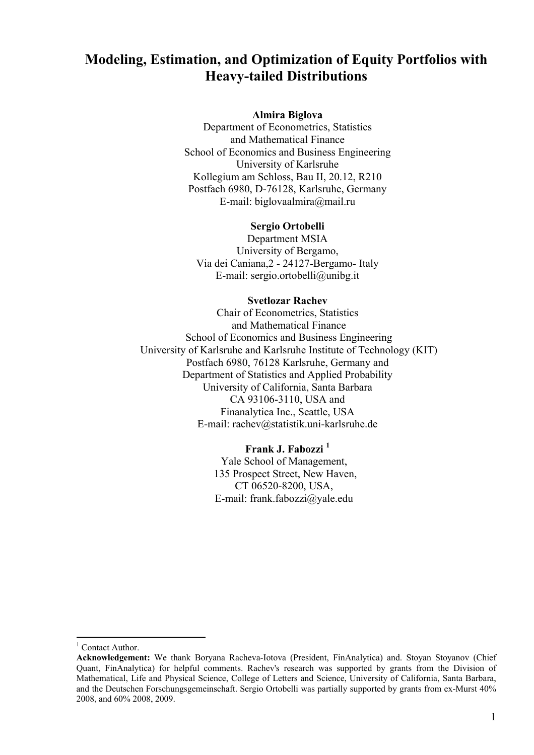# **Modeling, Estimation, and Optimization of Equity Portfolios with Heavy-tailed Distributions**

## **Almira Biglova**

Department of Econometrics, Statistics and Mathematical Finance School of Economics and Business Engineering University of Karlsruhe Kollegium am Schloss, Bau II, 20.12, R210 Postfach 6980, D-76128, Karlsruhe, Germany E-mail: biglovaalmira@mail.ru

#### **Sergio Ortobelli**

Department MSIA University of Bergamo, Via dei Caniana,2 - 24127-Bergamo- Italy E-mail: sergio.ortobelli@unibg.it

## **Svetlozar Rachev**

Chair of Econometrics, Statistics and Mathematical Finance School of Economics and Business Engineering University of Karlsruhe and Karlsruhe Institute of Technology (KIT) Postfach 6980, 76128 Karlsruhe, Germany and Department of Statistics and Applied Probability University of California, Santa Barbara CA 93106-3110, USA and Finanalytica Inc., Seattle, USA E-mail: rachev@statistik.uni-karlsruhe.de

# **Frank J. Fabozzi <sup>1</sup>**

Yale School of Management, 135 Prospect Street, New Haven, CT 06520-8200, USA, E-mail: frank.fabozzi@yale.edu

<sup>&</sup>lt;sup>1</sup> Contact Author.

**Acknowledgement:** We thank Boryana Racheva-Iotova (President, FinAnalytica) and. Stoyan Stoyanov (Chief Quant, FinAnalytica) for helpful comments. Rachev's research was supported by grants from the Division of Mathematical, Life and Physical Science, College of Letters and Science, University of California, Santa Barbara, and the Deutschen Forschungsgemeinschaft. Sergio Ortobelli was partially supported by grants from ex-Murst 40% 2008, and 60% 2008, 2009.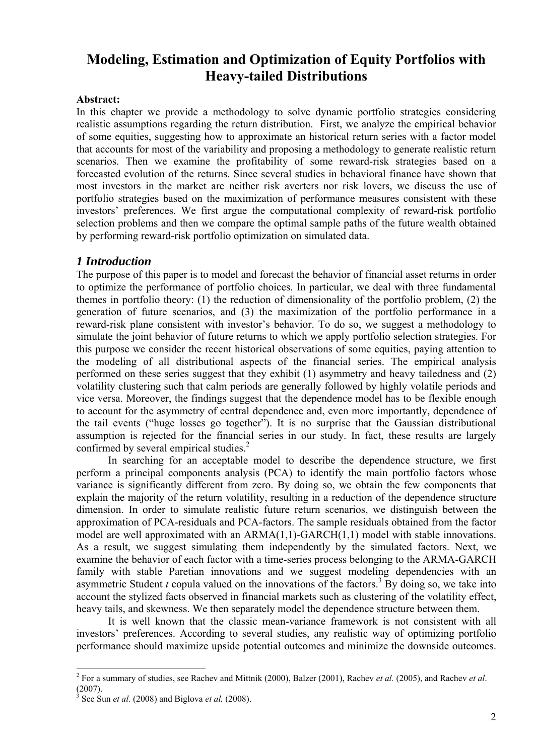# **Modeling, Estimation and Optimization of Equity Portfolios with Heavy-tailed Distributions**

# **Abstract:**

In this chapter we provide a methodology to solve dynamic portfolio strategies considering realistic assumptions regarding the return distribution. First, we analyze the empirical behavior of some equities, suggesting how to approximate an historical return series with a factor model that accounts for most of the variability and proposing a methodology to generate realistic return scenarios. Then we examine the profitability of some reward-risk strategies based on a forecasted evolution of the returns. Since several studies in behavioral finance have shown that most investors in the market are neither risk averters nor risk lovers, we discuss the use of portfolio strategies based on the maximization of performance measures consistent with these investors' preferences. We first argue the computational complexity of reward-risk portfolio selection problems and then we compare the optimal sample paths of the future wealth obtained by performing reward-risk portfolio optimization on simulated data.

# *1 Introduction*

The purpose of this paper is to model and forecast the behavior of financial asset returns in order to optimize the performance of portfolio choices. In particular, we deal with three fundamental themes in portfolio theory: (1) the reduction of dimensionality of the portfolio problem, (2) the generation of future scenarios, and (3) the maximization of the portfolio performance in a reward-risk plane consistent with investor's behavior. To do so, we suggest a methodology to simulate the joint behavior of future returns to which we apply portfolio selection strategies. For this purpose we consider the recent historical observations of some equities, paying attention to the modeling of all distributional aspects of the financial series. The empirical analysis performed on these series suggest that they exhibit (1) asymmetry and heavy tailedness and (2) volatility clustering such that calm periods are generally followed by highly volatile periods and vice versa. Moreover, the findings suggest that the dependence model has to be flexible enough to account for the asymmetry of central dependence and, even more importantly, dependence of the tail events ("huge losses go together"). It is no surprise that the Gaussian distributional assumption is rejected for the financial series in our study. In fact, these results are largely confirmed by several empirical studies.<sup>2</sup>

In searching for an acceptable model to describe the dependence structure, we first perform a principal components analysis (PCA) to identify the main portfolio factors whose variance is significantly different from zero. By doing so, we obtain the few components that explain the majority of the return volatility, resulting in a reduction of the dependence structure dimension. In order to simulate realistic future return scenarios, we distinguish between the approximation of PCA-residuals and PCA-factors. The sample residuals obtained from the factor model are well approximated with an ARMA(1,1)-GARCH(1,1) model with stable innovations. As a result, we suggest simulating them independently by the simulated factors. Next, we examine the behavior of each factor with a time-series process belonging to the ARMA-GARCH family with stable Paretian innovations and we suggest modeling dependencies with an asymmetric Student  $t$  copula valued on the innovations of the factors.<sup>3</sup> By doing so, we take into account the stylized facts observed in financial markets such as clustering of the volatility effect, heavy tails, and skewness. We then separately model the dependence structure between them.

It is well known that the classic mean-variance framework is not consistent with all investors' preferences. According to several studies, any realistic way of optimizing portfolio performance should maximize upside potential outcomes and minimize the downside outcomes.

 2 For a summary of studies, see Rachev and Mittnik (2000), Balzer (2001), Rachev *et al.* (2005), and Rachev *et al*.

<sup>(2007).</sup>  3 See Sun *et al.* (2008) and Biglova *et al.* (2008).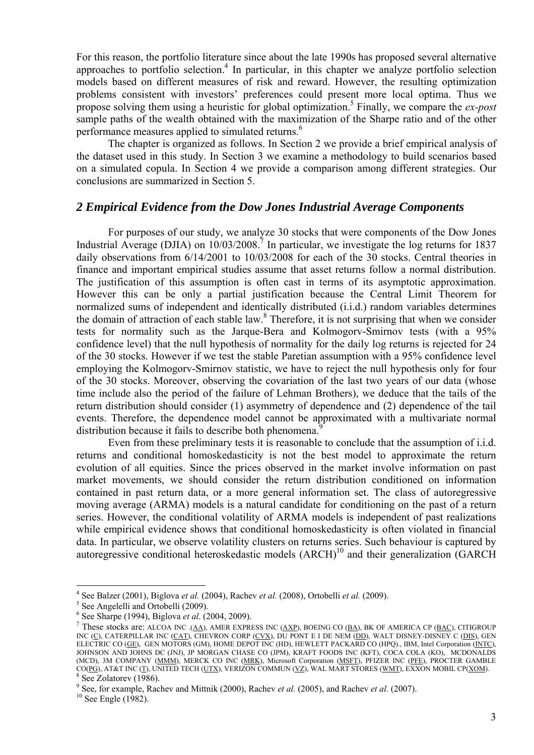For this reason, the portfolio literature since about the late 1990s has proposed several alternative approaches to portfolio selection.<sup>4</sup> In particular, in this chapter we analyze portfolio selection models based on different measures of risk and reward. However, the resulting optimization problems consistent with investors' preferences could present more local optima. Thus we propose solving them using a heuristic for global optimization.5 Finally, we compare the *ex-post* sample paths of the wealth obtained with the maximization of the Sharpe ratio and of the other performance measures applied to simulated returns.<sup>6</sup>

The chapter is organized as follows. In Section 2 we provide a brief empirical analysis of the dataset used in this study. In Section 3 we examine a methodology to build scenarios based on a simulated copula. In Section 4 we provide a comparison among different strategies. Our conclusions are summarized in Section 5.

# *2 Empirical Evidence from the Dow Jones Industrial Average Components*

For purposes of our study, we analyze 30 stocks that were components of the Dow Jones Industrial Average (DJIA) on  $10/03/2008$ .<sup>7</sup> In particular, we investigate the log returns for 1837 daily observations from 6/14/2001 to 10/03/2008 for each of the 30 stocks. Central theories in finance and important empirical studies assume that asset returns follow a normal distribution. The justification of this assumption is often cast in terms of its asymptotic approximation. However this can be only a partial justification because the Central Limit Theorem for normalized sums of independent and identically distributed (i.i.d.) random variables determines the domain of attraction of each stable law.<sup>8</sup> Therefore, it is not surprising that when we consider tests for normality such as the Jarque-Bera and Kolmogorv-Smirnov tests (with a 95% confidence level) that the null hypothesis of normality for the daily log returns is rejected for 24 of the 30 stocks. However if we test the stable Paretian assumption with a 95% confidence level employing the Kolmogorv-Smirnov statistic, we have to reject the null hypothesis only for four of the 30 stocks. Moreover, observing the covariation of the last two years of our data (whose time include also the period of the failure of Lehman Brothers), we deduce that the tails of the return distribution should consider (1) asymmetry of dependence and (2) dependence of the tail events. Therefore, the dependence model cannot be approximated with a multivariate normal distribution because it fails to describe both phenomena.<sup>9</sup>

Even from these preliminary tests it is reasonable to conclude that the assumption of i.i.d. returns and conditional homoskedasticity is not the best model to approximate the return evolution of all equities. Since the prices observed in the market involve information on past market movements, we should consider the return distribution conditioned on information contained in past return data, or a more general information set. The class of autoregressive moving average (ARMA) models is a natural candidate for conditioning on the past of a return series. However, the conditional volatility of ARMA models is independent of past realizations while empirical evidence shows that conditional homoskedasticity is often violated in financial data. In particular, we observe volatility clusters on returns series. Such behaviour is captured by autoregressive conditional heteroskedastic models  $(ARCH)^{10}$  and their generalization  $(GARCH)$ 

<sup>&</sup>lt;sup>4</sup> See Balzer (2001), Biglova *et al.* (2004), Rachev *et al.* (2008), Ortobelli *et al.* (2009).

<sup>&</sup>lt;sup>5</sup> See Angelelli and Ortobelli (2009).

<sup>&</sup>lt;sup>6</sup> See Sharpe (1994), Biglova *et al.* (2004, 2009).

<sup>&</sup>lt;sup>7</sup> These stocks are: ALCOA INC .(AA), AMER EXPRESS INC (AXP), BOEING CO (BA), BK OF AMERICA CP (BAC), CITIGROUP INC (C), CATERPILLAR INC (CAT), CHEVRON CORP (CVX), DU PONT E I DE NEM (DD), WALT DISNEY-DISNEY C (DIS), GEN ELECTRIC CO (GE), GEN MOTORS (GM), HOME DEPOT INC (HD), HEWLETT PACKARD CO (HPQ)., IBM, Intel Corporation (INTC), JOHNSON AND JOHNS DC (JNJ), JP MORGAN CHASE CO (JPM), KRAFT FOODS INC (KFT), COCA COLA (KO), MCDONALDS (MCD), 3M COMPANY (MMM), MERCK CO INC (MRK), Microsoft Corporation (MSFT), PFIZER INC (PFE), PROCTER GAMBLE CO(<u>PG</u>), AT&T INC (<u>T</u>), UNITED TECH (<u>UTX),</u> VERIZON COMMUN (<u>VZ</u>), WAL MART STORES (<u>WMT</u>), EXXON MOBIL CP(<u>XOM</u>).<br><sup>8</sup> See Zolatorev (1986).

<sup>&</sup>lt;sup>9</sup> See, for example, Rachev and Mittnik (2000), Rachev *et al.* (2005), and Rachev *et al.* (2007). <sup>10</sup> See Engle (1982).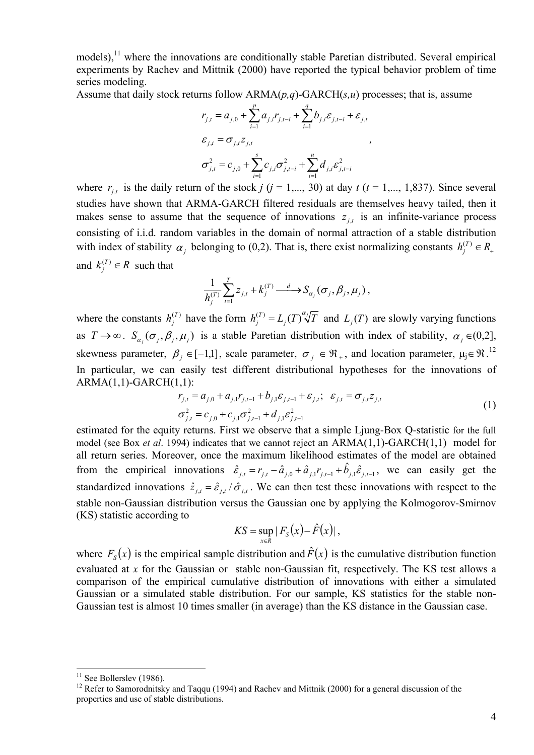models),<sup>11</sup> where the innovations are conditionally stable Paretian distributed. Several empirical experiments by Rachev and Mittnik (2000) have reported the typical behavior problem of time series modeling.

Assume that daily stock returns follow ARMA(*p,q*)-GARCH(*s,u*) processes; that is, assume

$$
r_{j,t} = a_{j,0} + \sum_{i=1}^{p} a_{j,i} r_{j,t-i} + \sum_{i=1}^{q} b_{j,i} \varepsilon_{j,t-i} + \varepsilon_{j,t}
$$
  

$$
\varepsilon_{j,t} = \sigma_{j,t} z_{j,t}
$$
  

$$
\sigma_{j,t}^{2} = c_{j,0} + \sum_{i=1}^{s} c_{j,i} \sigma_{j,t-i}^{2} + \sum_{i=1}^{u} d_{j,i} \varepsilon_{j,t-i}^{2}
$$

where  $r_{j,t}$  is the daily return of the stock  $j$  ( $j = 1,..., 30$ ) at day  $t$  ( $t = 1,..., 1,837$ ). Since several studies have shown that ARMA-GARCH filtered residuals are themselves heavy tailed, then it makes sense to assume that the sequence of innovations  $z_{j,t}$  is an infinite-variance process consisting of i.i.d. random variables in the domain of normal attraction of a stable distribution with index of stability  $\alpha_j$  belonging to (0,2). That is, there exist normalizing constants  $h_j^{(T)} \in R$ . and  $k_j^{(T)} \in R$  such that

$$
\frac{1}{h_j^{(T)}}\sum_{t=1}^T z_{j,t} + k_j^{(T)} \xrightarrow{d} S_{\alpha_j}(\sigma_j,\beta_j,\mu_j),
$$

where the constants  $h_j^{(T)}$  have the form  $h_j^{(T)} = L_j(T) \sqrt[\alpha_j]{T}$  and  $L_j(T)$  are slowly varying functions as  $T \to \infty$ .  $S_{\alpha_j}(\sigma_j, \beta_j, \mu_j)$  is a stable Paretian distribution with index of stability,  $\alpha_j \in (0,2]$ , skewness parameter,  $\beta_j \in [-1,1]$ , scale parameter,  $\sigma_j \in \mathfrak{R}_+$ , and location parameter,  $\mu_j \in \mathfrak{R}^{-12}$ . In particular, we can easily test different distributional hypotheses for the innovations of ARMA(1,1)-GARCH(1,1):

$$
r_{j,t} = a_{j,0} + a_{j,1}r_{j,t-1} + b_{j,1}\varepsilon_{j,t-1} + \varepsilon_{j,t}; \quad \varepsilon_{j,t} = \sigma_{j,t}z_{j,t}
$$
  
\n
$$
\sigma_{j,t}^2 = c_{j,0} + c_{j,1}\sigma_{j,t-1}^2 + d_{j,1}\varepsilon_{j,t-1}^2
$$
\n(1)

*,* 

estimated for the equity returns. First we observe that a simple Ljung-Box Q-statistic for the full model (see Box *et al*. 1994) indicates that we cannot reject an ARMA(1,1)-GARCH(1,1) model for all return series. Moreover, once the maximum likelihood estimates of the model are obtained from the empirical innovations  $\hat{\epsilon}_{j,t} = r_{j,t} - \hat{a}_{j,0} + \hat{a}_{j,t}r_{j,t-1} + \hat{b}_{j,t}\hat{\epsilon}_{j,t-1}$ , we can easily get the standardized innovations  $\hat{z}_{j,t} = \hat{\epsilon}_{j,t} / \hat{\sigma}_{j,t}$ . We can then test these innovations with respect to the stable non-Gaussian distribution versus the Gaussian one by applying the Kolmogorov-Smirnov (KS) statistic according to

$$
KS = \sup_{x \in R} |F_s(x) - \hat{F}(x)|,
$$

where  $F_s(x)$  is the empirical sample distribution and  $\hat{F}(x)$  is the cumulative distribution function evaluated at *x* for the Gaussian or stable non-Gaussian fit, respectively. The KS test allows a comparison of the empirical cumulative distribution of innovations with either a simulated Gaussian or a simulated stable distribution. For our sample, KS statistics for the stable non-Gaussian test is almost 10 times smaller (in average) than the KS distance in the Gaussian case.

 $11$  See Bollerslev (1986).

<sup>&</sup>lt;sup>12</sup> Refer to Samorodnitsky and Taqqu (1994) and Rachev and Mittnik (2000) for a general discussion of the properties and use of stable distributions.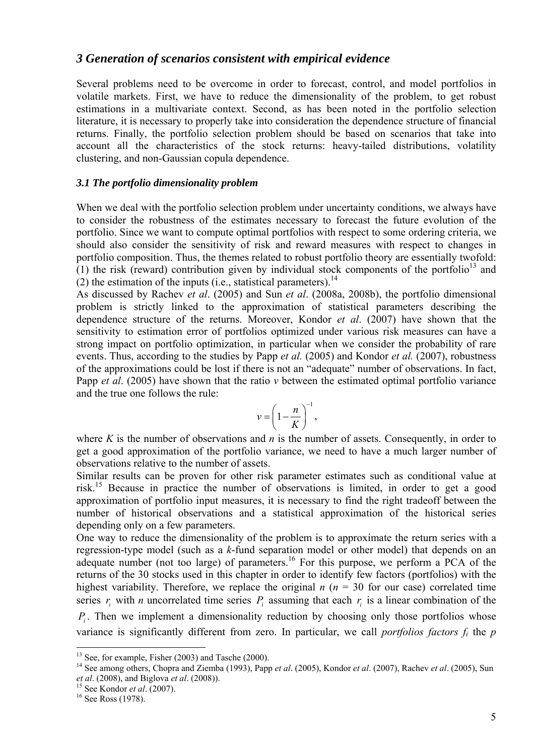# *3 Generation of scenarios consistent with empirical evidence*

Several problems need to be overcome in order to forecast, control, and model portfolios in volatile markets. First, we have to reduce the dimensionality of the problem, to get robust estimations in a multivariate context. Second, as has been noted in the portfolio selection literature, it is necessary to properly take into consideration the dependence structure of financial returns. Finally, the portfolio selection problem should be based on scenarios that take into account all the characteristics of the stock returns: heavy-tailed distributions, volatility clustering, and non-Gaussian copula dependence.

# *3.1 The portfolio dimensionality problem*

When we deal with the portfolio selection problem under uncertainty conditions, we always have to consider the robustness of the estimates necessary to forecast the future evolution of the portfolio. Since we want to compute optimal portfolios with respect to some ordering criteria, we should also consider the sensitivity of risk and reward measures with respect to changes in portfolio composition. Thus, the themes related to robust portfolio theory are essentially twofold: (1) the risk (reward) contribution given by individual stock components of the portfolio<sup>13</sup> and (2) the estimation of the inputs (i.e., statistical parameters).<sup>14</sup>

As discussed by Rachev *et al*. (2005) and Sun *et al*. (2008a, 2008b), the portfolio dimensional problem is strictly linked to the approximation of statistical parameters describing the dependence structure of the returns. Moreover, Kondor *et al*. (2007) have shown that the sensitivity to estimation error of portfolios optimized under various risk measures can have a strong impact on portfolio optimization, in particular when we consider the probability of rare events. Thus, according to the studies by Papp *et al.* (2005) and Kondor *et al.* (2007), robustness of the approximations could be lost if there is not an "adequate" number of observations. In fact, Papp *et al*. (2005) have shown that the ratio *v* between the estimated optimal portfolio variance and the true one follows the rule:

$$
v = \left(1 - \frac{n}{K}\right)^{-1},
$$

where  $K$  is the number of observations and  $n$  is the number of assets. Consequently, in order to get a good approximation of the portfolio variance, we need to have a much larger number of observations relative to the number of assets.

Similar results can be proven for other risk parameter estimates such as conditional value at risk.15 Because in practice the number of observations is limited, in order to get a good approximation of portfolio input measures, it is necessary to find the right tradeoff between the number of historical observations and a statistical approximation of the historical series depending only on a few parameters.

One way to reduce the dimensionality of the problem is to approximate the return series with a regression-type model (such as a *k*-fund separation model or other model) that depends on an adequate number (not too large) of parameters.<sup>16</sup> For this purpose, we perform a PCA of the returns of the 30 stocks used in this chapter in order to identify few factors (portfolios) with the highest variability. Therefore, we replace the original  $n(n = 30)$  for our case) correlated time series  $r_i$  with *n* uncorrelated time series  $P_i$  assuming that each  $r_i$  is a linear combination of the *P*<sub>1</sub>. Then we implement a dimensionality reduction by choosing only those portfolios whose variance is significantly different from zero. In particular, we call *portfolios factors fi* the *p*

<sup>&</sup>lt;sup>13</sup> See, for example, Fisher (2003) and Tasche (2000).<br><sup>14</sup> See among others, Chopra and Ziemba (1993), Papp *et al.* (2005), Kondor *et al.* (2007), Rachev *et al.* (2005), Sun *et al.* (2008), and Biglova *et al.* (2008)).<br><sup>15</sup> See Kondor *et al.* (2007).<br><sup>16</sup> See Ross (1978).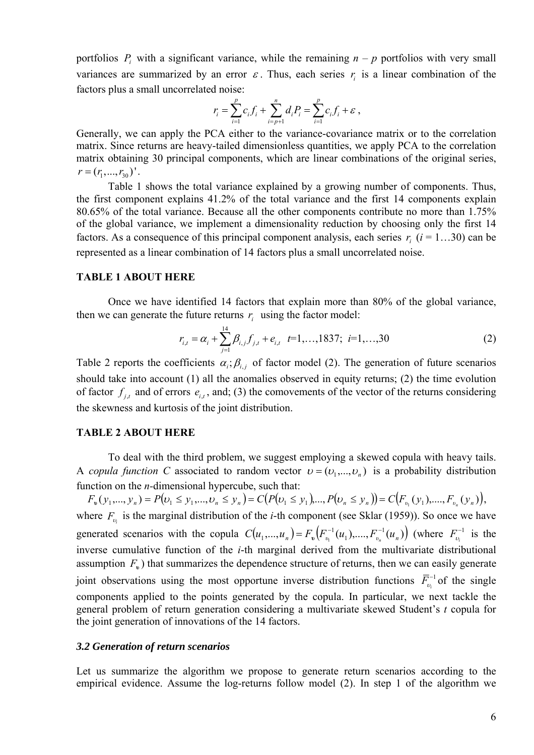portfolios  $P_i$  with a significant variance, while the remaining  $n - p$  portfolios with very small variances are summarized by an error  $\varepsilon$ . Thus, each series  $r_i$  is a linear combination of the factors plus a small uncorrelated noise:

$$
r_i = \sum_{i=1}^p c_i f_i + \sum_{i=p+1}^n d_i P_i = \sum_{i=1}^p c_i f_i + \varepsilon ,
$$

Generally, we can apply the PCA either to the variance-covariance matrix or to the correlation matrix. Since returns are heavy-tailed dimensionless quantities, we apply PCA to the correlation matrix obtaining 30 principal components, which are linear combinations of the original series,  $r = (r_1, ..., r_{30})'$ .

Table 1 shows the total variance explained by a growing number of components. Thus, the first component explains 41.2% of the total variance and the first 14 components explain 80.65% of the total variance. Because all the other components contribute no more than 1.75% of the global variance, we implement a dimensionality reduction by choosing only the first 14 factors. As a consequence of this principal component analysis, each series  $r_i$  ( $i = 1...30$ ) can be represented as a linear combination of 14 factors plus a small uncorrelated noise.

#### **TABLE 1 ABOUT HERE**

Once we have identified 14 factors that explain more than 80% of the global variance, then we can generate the future returns  $r_i$  using the factor model:

$$
r_{i,t} = \alpha_i + \sum_{j=1}^{14} \beta_{i,j} f_{j,t} + e_{i,t} \quad t=1,\dots,1837; \quad i=1,\dots,30
$$
 (2)

Table 2 reports the coefficients  $\alpha_i$ ;  $\beta_{i,j}$  of factor model (2). The generation of future scenarios should take into account (1) all the anomalies observed in equity returns; (2) the time evolution of factor  $f_{i,t}$  and of errors  $e_{i,t}$ , and; (3) the comovements of the vector of the returns considering the skewness and kurtosis of the joint distribution.

#### **TABLE 2 ABOUT HERE**

To deal with the third problem, we suggest employing a skewed copula with heavy tails. A *copula function* C associated to random vector  $v = (v_1, ..., v_n)$  is a probability distribution function on the *n-*dimensional hypercube, such that:

 $F_v(y_1,..., y_n) = P(v_1 \leq y_1,..., v_n \leq y_n) = C(P(v_1 \leq y_1),..., P(v_n \leq y_n)) = C(F_{v_1}(y_1),..., F_{v_n}(y_n)),$ where  $F_{\nu}$  is the marginal distribution of the *i*-th component (see Sklar (1959)). So once we have generated scenarios with the copula  $C(u_1,...,u_n) = F_v(F_{v_1}^{-1}(u_1),..., F_{v_n}^{-1}(u_n))$  $C(u_1,...,u_n) = F_v(F_{v_1}^{-1}(u_1),...,F_{v_n}^{-1}(u_n))$  (where  $F_{v_i}^{-1}$  is the inverse cumulative function of the *i*-th marginal derived from the multivariate distributional assumption  $F_{\nu}$ ) that summarizes the dependence structure of returns, then we can easily generate joint observations using the most opportune inverse distribution functions  $\overline{F}_{\nu_i}^{-1}$  of the single components applied to the points generated by the copula. In particular, we next tackle the general problem of return generation considering a multivariate skewed Student's *t* copula for the joint generation of innovations of the 14 factors.

## *3.2 Generation of return scenarios*

Let us summarize the algorithm we propose to generate return scenarios according to the empirical evidence. Assume the log-returns follow model (2). In step 1 of the algorithm we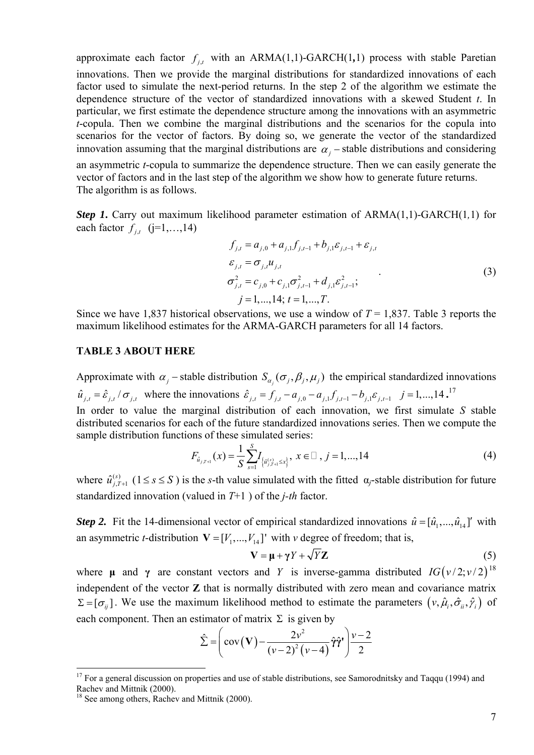approximate each factor  $f_{j,t}$  with an ARMA(1,1)-GARCH(1,1) process with stable Paretian innovations. Then we provide the marginal distributions for standardized innovations of each factor used to simulate the next-period returns. In the step 2 of the algorithm we estimate the dependence structure of the vector of standardized innovations with a skewed Student *t*. In particular, we first estimate the dependence structure among the innovations with an asymmetric *t*-copula. Then we combine the marginal distributions and the scenarios for the copula into scenarios for the vector of factors. By doing so, we generate the vector of the standardized innovation assuming that the marginal distributions are  $\alpha_i$  – stable distributions and considering

an asymmetric *t*-copula to summarize the dependence structure. Then we can easily generate the vector of factors and in the last step of the algorithm we show how to generate future returns. The algorithm is as follows.

*Step 1***.** Carry out maximum likelihood parameter estimation of ARMA(1,1)-GARCH(1*,*1) for each factor  $f_{i,t}$  (j=1,...,14)

$$
f_{j,t} = a_{j,0} + a_{j,1}f_{j,t-1} + b_{j,1}\varepsilon_{j,t-1} + \varepsilon_{j,t}
$$
  
\n
$$
\varepsilon_{j,t} = \sigma_{j,t}u_{j,t}
$$
  
\n
$$
\sigma_{j,t}^2 = c_{j,0} + c_{j,1}\sigma_{j,t-1}^2 + d_{j,1}\varepsilon_{j,t-1}^2;
$$
  
\n
$$
j = 1,...,14; t = 1,...,T.
$$
\n(3)

Since we have 1,837 historical observations, we use a window of  $T = 1,837$ . Table 3 reports the maximum likelihood estimates for the ARMA-GARCH parameters for all 14 factors.

# **TABLE 3 ABOUT HERE**

Approximate with  $\alpha_j$  – stable distribution  $S_{\alpha_j}(\sigma_j, \beta_j, \mu_j)$  the empirical standardized innovations  $\hat{u}_{j,t} = \hat{\varepsilon}_{j,t} / \sigma_{j,t}$  where the innovations  $\hat{\varepsilon}_{j,t} = f_{j,t} - a_{j,0} - a_{j,1} f_{j,t-1} - b_{j,1} \varepsilon_{j,t-1}$   $j = 1,...,14$ .<sup>17</sup> In order to value the marginal distribution of each innovation, we first simulate *S* stable distributed scenarios for each of the future standardized innovations series. Then we compute the sample distribution functions of these simulated series:

$$
F_{\hat{u}_{j,r+1}}(x) = \frac{1}{S} \sum_{s=1}^{S} I_{\left\{\hat{u}_{j,r+1}^{(s)} \leq x\right\}}, \ x \in \square, \ j = 1, ..., 14
$$
 (4)

where  $\hat{u}_{j,T+1}^{(s)}$   $(1 \leq s \leq S)$  is the *s*-th value simulated with the fitted  $\alpha_j$ -stable distribution for future standardized innovation (valued in *T*+1 ) of the *j-th* factor.

*Step 2.* Fit the 14-dimensional vector of empirical standardized innovations  $\hat{u} = [\hat{u}_1, ..., \hat{u}_{14}]'$  with an asymmetric *t*-distribution  $V = [V_1, ..., V_{14}]'$  with *v* degree of freedom; that is,

$$
\mathbf{V} = \mathbf{\mu} + \gamma Y + \sqrt{Y} \mathbf{Z} \tag{5}
$$

where **μ** and **γ** are constant vectors and *Y* is inverse-gamma distributed  $IG(v/2; v/2)^{18}$ independent of the vector **Z** that is normally distributed with zero mean and covariance matrix  $\Sigma = [\sigma_{ij}]$ . We use the maximum likelihood method to estimate the parameters  $(v, \hat{\mu}_i, \hat{\sigma}_{ii}, \hat{\gamma}_i)$  of each component. Then an estimator of matrix  $\Sigma$  is given by

$$
\hat{\Sigma} = \left(\text{cov}(\mathbf{V}) - \frac{2v^2}{(v-2)^2(v-4)}\hat{\gamma}\hat{\gamma}'\right)\frac{v-2}{2}
$$

 $17$  For a general discussion on properties and use of stable distributions, see Samorodnitsky and Taqqu (1994) and Rachev and Mittnik (2000).

<sup>&</sup>lt;sup>18</sup> See among others, Rachev and Mittnik (2000).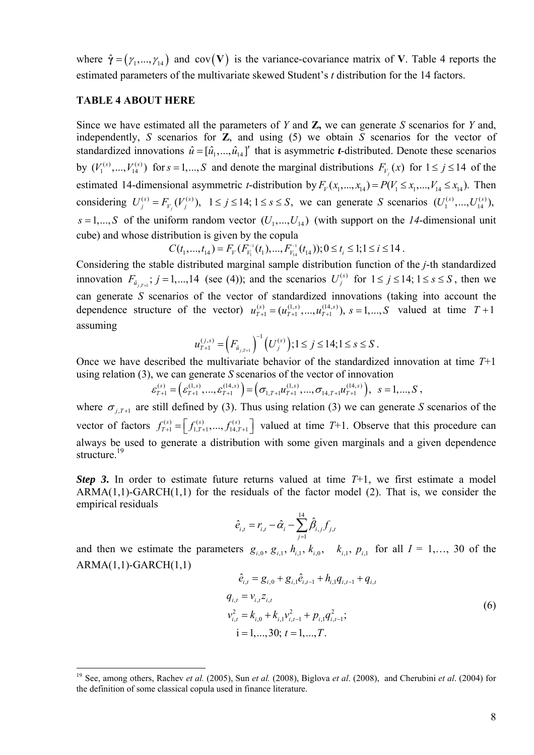where  $\hat{\gamma} = (\gamma_1, ..., \gamma_{14})$  and cov(V) is the variance-covariance matrix of V. Table 4 reports the estimated parameters of the multivariate skewed Student's *t* distribution for the 14 factors.

#### **TABLE 4 ABOUT HERE**

 $\overline{a}$ 

Since we have estimated all the parameters of *Y* and **Z,** we can generate *S* scenarios for *Y* and, independently, *S* scenarios for **Z**, and using (5) we obtain *S* scenarios for the vector of standardized innovations  $\hat{u} = [\hat{u}_1, ..., \hat{u}_{14}]'$  that is asymmetric *t*-distributed. Denote these scenarios by  $(V_1^{(s)},...,V_{14}^{(s)})$  for  $s = 1,..., S$  and denote the marginal distributions  $F_{V_j}(x)$  for  $1 \le j \le 14$  of the estimated 14-dimensional asymmetric *t*-distribution by  $F_V(x_1, ..., x_{14}) = P(V_1 \le x_1, ..., V_{14} \le x_{14})$ . Then considering  $U_j^{(s)} = F_{V_j}(V_j^{(s)})$ ,  $1 \le j \le 14$ ;  $1 \le s \le S$ , we can generate *S* scenarios  $(U_1^{(s)},...,U_{14}^{(s)})$ ,  $s = 1, ..., S$  of the uniform random vector  $(U_1, ..., U_{14})$  (with support on the *14*-dimensional unit cube) and whose distribution is given by the copula

$$
C(t_1,...,t_{14})=F_V(F_{V_1}^{-1}(t_1),...,F_{V_{14}}^{-1}(t_{14})); 0\leq t_i\leq 1; 1\leq i\leq 14.
$$

Considering the stable distributed marginal sample distribution function of the *j*-th standardized innovation  $F_{\hat{u}_{i,r+1}}$ ;  $j = 1,...,14$  (see (4)); and the scenarios  $U_j^{(s)}$  for  $1 \le j \le 14$ ;  $1 \le s \le S$ , then we can generate *S* scenarios of the vector of standardized innovations (taking into account the dependence structure of the vector)  $u_{T+1}^{(s)} = (u_{T+1}^{(1,s)},...,u_{T+1}^{(1, s)})$ ,  $s = 1,..., S$  valued at time  $T+1$ assuming

$$
u_{T+1}^{(j,s)} = \left(F_{\hat{u}_{j,T+1}}\right)^{-1} \left(U_j^{(s)}\right); 1 \le j \le 14; 1 \le s \le S.
$$

Once we have described the multivariate behavior of the standardized innovation at time *T*+1 using relation (3), we can generate *S* scenarios of the vector of innovation

 $\varepsilon_{T+1}^{(s)} = \left( \varepsilon_{T+1}^{(1,s)}, \ldots, \varepsilon_{T+1}^{(14,s)} \right) = \left( \sigma_{1,T+1} u_{T+1}^{(1,s)}, \ldots, \sigma_{14,T+1} u_{T+1}^{(14,s)} \right), \quad s = 1, \ldots, S,$ 

where  $\sigma_{i, T+1}$  are still defined by (3). Thus using relation (3) we can generate *S* scenarios of the vector of factors  $f_{T+1}^{(s)} = \begin{bmatrix} f_{1,T+1}^{(s)},..., f_{14,T+1}^{(s)} \end{bmatrix}$  valued at time  $T+1$ . Observe that this procedure can always be used to generate a distribution with some given marginals and a given dependence structure.<sup>19</sup>

*Step 3***.** In order to estimate future returns valued at time *T*+1, we first estimate a model  $ARMA(1,1)-GARCH(1,1)$  for the residuals of the factor model (2). That is, we consider the empirical residuals

$$
\hat{e}_{i,t} = r_{i,t} - \hat{\alpha}_i - \sum_{j=1}^{14} \hat{\beta}_{i,j} f_{j,t}
$$

and then we estimate the parameters  $g_{i,0}$ ,  $g_{i,1}$ ,  $h_{i,1}$ ,  $k_{i,0}$ ,  $k_{i,1}$ ,  $p_{i,1}$  for all  $I = 1,..., 30$  of the ARMA(1,1)-GARCH(1,1)

$$
\hat{e}_{i,t} = g_{i,0} + g_{i,1}\hat{e}_{i,t-1} + h_{i,1}q_{i,t-1} + q_{i,t}
$$
\n
$$
q_{i,t} = v_{i,t}z_{i,t}
$$
\n
$$
v_{i,t}^2 = k_{i,0} + k_{i,1}v_{i,t-1}^2 + p_{i,1}q_{i,t-1}^2;
$$
\n
$$
i = 1,...,30; t = 1,...,T.
$$
\n(6)

<sup>19</sup> See, among others, Rachev *et al.* (2005), Sun *et al.* (2008), Biglova *et al*. (2008), and Cherubini *et al*. (2004) for the definition of some classical copula used in finance literature.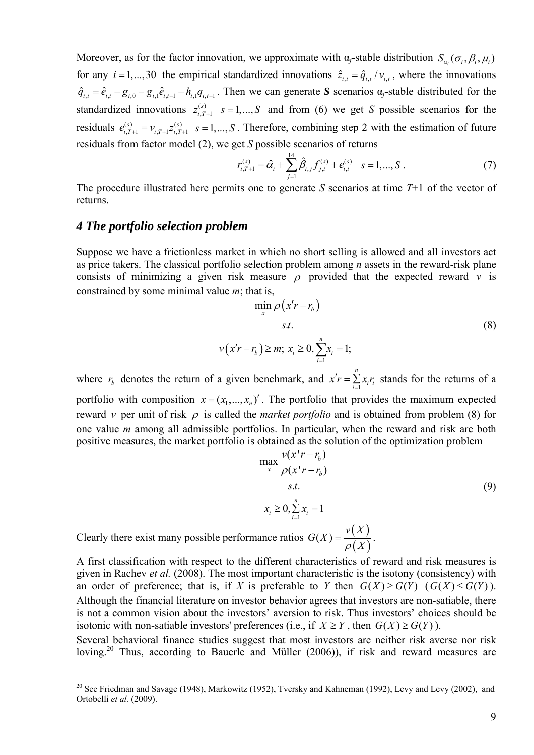Moreover, as for the factor innovation, we approximate with  $\alpha_j$ -stable distribution  $S_{\alpha_i}(\sigma_i, \beta_i, \mu_i)$ for any  $i = 1,...,30$  the empirical standardized innovations  $\hat{z}_{i,t} = \hat{q}_{i,t}/v_{i,t}$ , where the innovations  $\hat{q}_{i,t} = \hat{e}_{i,t} - g_{i,0} - g_{i,1} \hat{e}_{i,t-1} - h_{i,1} q_{i,t-1}$ . Then we can generate *S* scenarios  $\alpha_j$ -stable distributed for the standardized innovations  $z_{i,T+1}^{(s)}$  $z_{i,T+1}^{(s)}$   $s = 1,..., S$  and from (6) we get *S* possible scenarios for the residuals  $e_{i,T+1}^{(s)} = v_{i,T+1} z_{i,T+1}^{(s)}$  $e_{i,T+1}^{(s)} = v_{i,T+1} z_{i,T+1}^{(s)}$   $s = 1,..., S$ . Therefore, combining step 2 with the estimation of future residuals from factor model (2), we get *S* possible scenarios of returns

$$
r_{i,T+1}^{(s)} = \hat{\alpha}_i + \sum_{j=1}^{14} \hat{\beta}_{i,j} f_{j,t}^{(s)} + e_{i,t}^{(s)} \quad s = 1,...,S . \tag{7}
$$

The procedure illustrated here permits one to generate *S* scenarios at time *T*+1 of the vector of returns.

# *4 The portfolio selection problem*

 $\overline{a}$ 

Suppose we have a frictionless market in which no short selling is allowed and all investors act as price takers. The classical portfolio selection problem among *n* assets in the reward-risk plane consists of minimizing a given risk measure  $\rho$  provided that the expected reward  $\nu$  is constrained by some minimal value *m*; that is,

$$
\min_{x} \rho(x'r - r_b)
$$
  
s.t.  

$$
v(x'r - r_b) \ge m; x_i \ge 0, \sum_{i=1}^{n} x_i = 1;
$$
 (8)

where  $r_b$  denotes the return of a given benchmark, and  $x'r = \sum_{i=1}^{n}$ *n*  $x'r = \sum_{i=1}^{r} x_i r_i$  stands for the returns of a portfolio with composition  $x = (x_1, ..., x_n)'$ . The portfolio that provides the maximum expected reward *v* per unit of risk  $\rho$  is called the *market portfolio* and is obtained from problem (8) for one value *m* among all admissible portfolios. In particular, when the reward and risk are both positive measures, the market portfolio is obtained as the solution of the optimization problem

$$
\max_{x} \frac{v(x'r - r_b)}{\rho(x'r - r_b)}
$$
  
s.t.  

$$
x_i \ge 0, \sum_{i=1}^{n} x_i = 1
$$
 (y)

Clearly there exist many possible performance ratios  $G(X) = \frac{v(X)}{\rho(X)}$ *v X*  $G(X) = \frac{G(X)}{\rho(X)}$ .

A first classification with respect to the different characteristics of reward and risk measures is given in Rachev *et al.* (2008). The most important characteristic is the isotony (consistency) with an order of preference; that is, if *X* is preferable to *Y* then  $G(X) \ge G(Y)$  ( $G(X) \le G(Y)$ ). Although the financial literature on investor behavior agrees that investors are non-satiable, there is not a common vision about the investors' aversion to risk. Thus investors' choices should be isotonic with non-satiable investors' preferences (i.e., if  $X \geq Y$ , then  $G(X) \geq G(Y)$ ).

Several behavioral finance studies suggest that most investors are neither risk averse nor risk loving.<sup>20</sup> Thus, according to Bauerle and Müller (2006)), if risk and reward measures are

<sup>&</sup>lt;sup>20</sup> See Friedman and Savage (1948), Markowitz (1952), Tversky and Kahneman (1992), Levy and Levy (2002), and Ortobelli *et al.* (2009).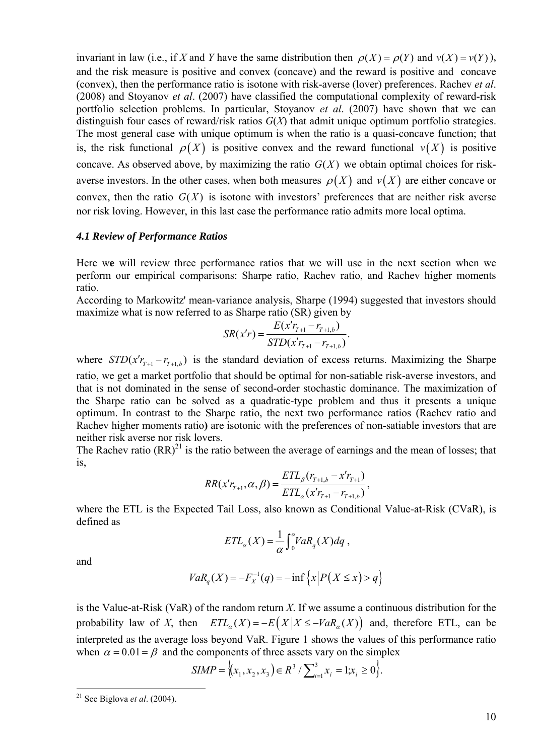invariant in law (i.e., if X and Y have the same distribution then  $\rho(X) = \rho(Y)$  and  $v(X) = v(Y)$ ), and the risk measure is positive and convex (concave) and the reward is positive and concave (convex), then the performance ratio is isotone with risk-averse (lover) preferences. Rachev *et al*. (2008) and Stoyanov *et al*. (2007) have classified the computational complexity of reward-risk portfolio selection problems. In particular, Stoyanov *et al*. (2007) have shown that we can distinguish four cases of reward/risk ratios *G*(*X*) that admit unique optimum portfolio strategies. The most general case with unique optimum is when the ratio is a quasi-concave function; that is, the risk functional  $\rho(X)$  is positive convex and the reward functional  $v(X)$  is positive concave. As observed above, by maximizing the ratio  $G(X)$  we obtain optimal choices for riskaverse investors. In the other cases, when both measures  $\rho(X)$  and  $v(X)$  are either concave or convex, then the ratio  $G(X)$  is isotone with investors' preferences that are neither risk averse nor risk loving. However, in this last case the performance ratio admits more local optima.

#### *4.1 Review of Performance Ratios*

Here w**e** will review three performance ratios that we will use in the next section when we perform our empirical comparisons: Sharpe ratio, Rachev ratio, and Rachev higher moments ratio.

According to Markowitz' mean-variance analysis, Sharpe (1994) suggested that investors should maximize what is now referred to as Sharpe ratio (SR) given by

$$
SR(x'r) = \frac{E(x'r_{T+1} - r_{T+1,b})}{STD(x'r_{T+1} - r_{T+1,b})}.
$$

where  $STD(x' r_{T+1} - r_{T+1 b})$  is the standard deviation of excess returns. Maximizing the Sharpe ratio, we get a market portfolio that should be optimal for non-satiable risk-averse investors, and that is not dominated in the sense of second-order stochastic dominance. The maximization of the Sharpe ratio can be solved as a quadratic-type problem and thus it presents a unique optimum. In contrast to the Sharpe ratio, the next two performance ratios (Rachev ratio and Rachev higher moments ratio**)** are isotonic with the preferences of non-satiable investors that are neither risk averse nor risk lovers.

The Rachev ratio  $(RR)^{21}$  is the ratio between the average of earnings and the mean of losses; that is,

$$
RR(x'r_{T+1}, \alpha, \beta) = \frac{ETL_{\beta}(r_{T+1,b} - x'r_{T+1})}{ETL_{\alpha}(x'r_{T+1} - r_{T+1,b})},
$$

where the ETL is the Expected Tail Loss, also known as Conditional Value-at-Risk (CVaR), is defined as

$$
ETL_{\alpha}(X) = \frac{1}{\alpha} \int_0^{\alpha} V a R_q(X) dq,
$$

and

 $\overline{a}$ 

$$
VaR_{q}(X) = -F_{X}^{-1}(q) = -\inf \{x \, | \, P(X \leq x) > q\}
$$

is the Value-at-Risk (VaR) of the random return *X*. If we assume a continuous distribution for the probability law of *X*, then  $ETL_{\alpha}(X) = -E(X|X \leq -VaR_{\alpha}(X))$  and, therefore ETL, can be interpreted as the average loss beyond VaR. Figure 1 shows the values of this performance ratio when  $\alpha = 0.01 = \beta$  and the components of three assets vary on the simplex

$$
SIMP = \left\{ (x_1, x_2, x_3) \in R^3 / \sum_{i=1}^3 x_i = 1; x_i \ge 0 \right\}.
$$

<sup>&</sup>lt;sup>21</sup> See Biglova *et al.* (2004).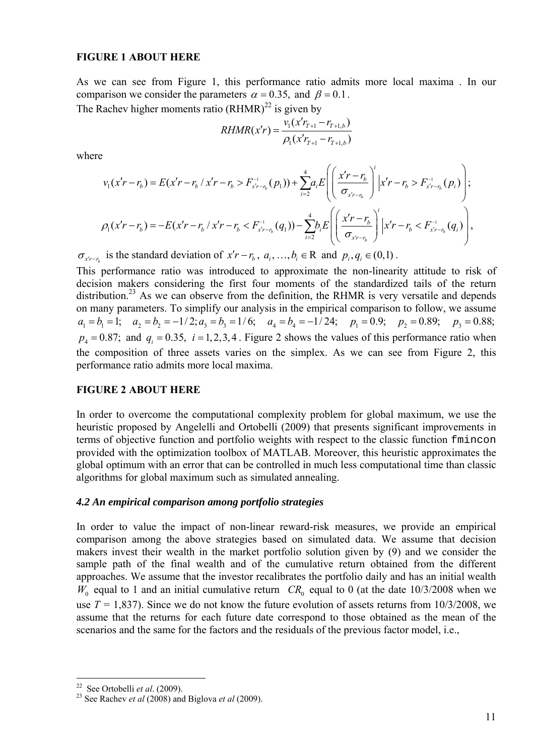## **FIGURE 1 ABOUT HERE**

As we can see from Figure 1, this performance ratio admits more local maxima . In our comparison we consider the parameters  $\alpha = 0.35$ , and  $\beta = 0.1$ . The Rachev higher moments ratio  $(RHMR)^{22}$  is given by

$$
RHMR(x'r) = \frac{v_1(x'r_{T+1} - r_{T+1,b})}{\rho_1(x'r_{T+1} - r_{T+1,b})}
$$

where

$$
v_{1}(x'r - r_{b}) = E(x'r - r_{b}/x'r - r_{b} > F_{x'r - r_{b}}^{-1}(p_{1})) + \sum_{i=2}^{4} a_{i}E\left(\left(\frac{x'r - r_{b}}{\sigma_{x'r - r_{b}}}\right)^{i}|x'r - r_{b} > F_{x'r - r_{b}}^{-1}(p_{i})\right);
$$
  

$$
\rho_{1}(x'r - r_{b}) = -E(x'r - r_{b}/x'r - r_{b} < F_{x'r - r_{b}}^{-1}(q_{1})) - \sum_{i=2}^{4} b_{i}E\left(\left(\frac{x'r - r_{b}}{\sigma_{x'r - r_{b}}}\right)^{i}|x'r - r_{b} < F_{x'r - r_{b}}^{-1}(q_{i})\right),
$$

 $\sigma_{x'_r - r_i}$  is the standard deviation of  $x'r - r_b$ ,  $a_i$ , …,  $b_i \in \mathbb{R}$  and  $p_i, q_i \in (0,1)$ .

This performance ratio was introduced to approximate the non-linearity attitude to risk of decision makers considering the first four moments of the standardized tails of the return distribution.<sup>23</sup> As we can observe from the definition, the RHMR is very versatile and depends on many parameters. To simplify our analysis in the empirical comparison to follow, we assume  $a_1 = b_1 = 1; \quad a_2 = b_2 = -1/2; a_3 = b_3 = 1/6; \quad a_4 = b_4 = -1/24; \quad p_1 = 0.9; \quad p_2 = 0.89; \quad p_3 = 0.88;$  $p_4 = 0.87$ ; and  $q_i = 0.35$ ,  $i = 1, 2, 3, 4$ . Figure 2 shows the values of this performance ratio when the composition of three assets varies on the simplex. As we can see from Figure 2, this performance ratio admits more local maxima.

## **FIGURE 2 ABOUT HERE**

In order to overcome the computational complexity problem for global maximum, we use the heuristic proposed by Angelelli and Ortobelli (2009) that presents significant improvements in terms of objective function and portfolio weights with respect to the classic function fmincon provided with the optimization toolbox of MATLAB. Moreover, this heuristic approximates the global optimum with an error that can be controlled in much less computational time than classic algorithms for global maximum such as simulated annealing.

#### *4.2 An empirical comparison among portfolio strategies*

In order to value the impact of non-linear reward-risk measures, we provide an empirical comparison among the above strategies based on simulated data. We assume that decision makers invest their wealth in the market portfolio solution given by (9) and we consider the sample path of the final wealth and of the cumulative return obtained from the different approaches. We assume that the investor recalibrates the portfolio daily and has an initial wealth  $W_0$  equal to 1 and an initial cumulative return *CR*<sub>0</sub> equal to 0 (at the date 10/3/2008 when we use  $T = 1,837$ ). Since we do not know the future evolution of assets returns from  $10/3/2008$ , we assume that the returns for each future date correspond to those obtained as the mean of the scenarios and the same for the factors and the residuals of the previous factor model, i.e.,

<sup>&</sup>lt;sup>22</sup> See Ortobelli *et al.* (2009).

<sup>&</sup>lt;sup>23</sup> See Rachev *et al* (2008) and Biglova *et al* (2009).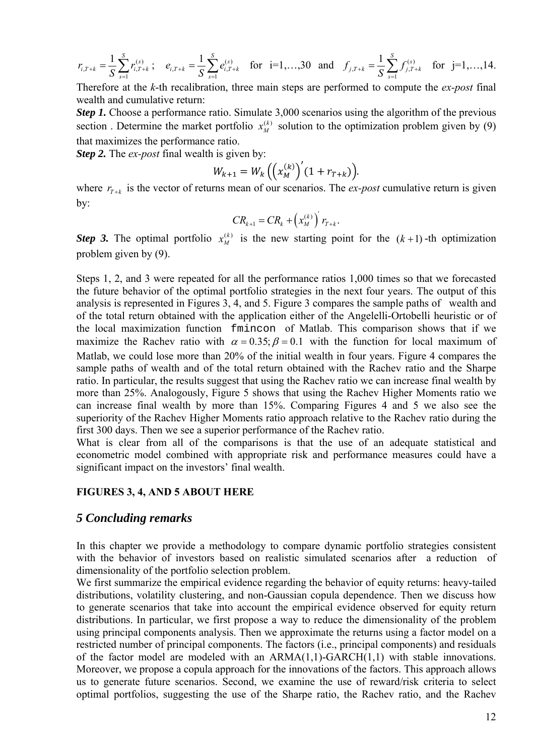$$
r_{i,T+k} = \frac{1}{S} \sum_{s=1}^{S} r_{i,T+k}^{(s)}; \quad e_{i,T+k} = \frac{1}{S} \sum_{s=1}^{S} e_{i,T+k}^{(s)} \quad \text{for} \quad i=1,\ldots,30 \quad \text{and} \quad f_{j,T+k} = \frac{1}{S} \sum_{s=1}^{S} f_{j,T+k}^{(s)} \quad \text{for} \quad j=1,\ldots,14.
$$

Therefore at the *k*-th recalibration, three main steps are performed to compute the *ex-post* final wealth and cumulative return:

*Step 1.* Choose a performance ratio. Simulate 3,000 scenarios using the algorithm of the previous section. Determine the market portfolio  $x_M^{(k)}$  solution to the optimization problem given by (9) that maximizes the performance ratio.

*Step 2.* The *ex-post* final wealth is given by:

$$
W_{k+1} = W_k \left( \left( x_M^{(k)} \right)' (1 + r_{T+k}) \right).
$$

where  $r_{t+k}$  is the vector of returns mean of our scenarios. The *ex-post* cumulative return is given by:

$$
CR_{k+1} = CR_k + (x_M^{(k)})^{\prime} r_{T+k}.
$$

*Step 3.* The optimal portfolio  $x_M^{(k)}$  is the new starting point for the  $(k+1)$ -th optimization problem given by (9).

Steps 1, 2, and 3 were repeated for all the performance ratios 1,000 times so that we forecasted the future behavior of the optimal portfolio strategies in the next four years. The output of this analysis is represented in Figures 3, 4, and 5. Figure 3 compares the sample paths of wealth and of the total return obtained with the application either of the Angelelli-Ortobelli heuristic or of the local maximization function fmincon of Matlab. This comparison shows that if we maximize the Rachev ratio with  $\alpha = 0.35$ ;  $\beta = 0.1$  with the function for local maximum of Matlab, we could lose more than 20% of the initial wealth in four years. Figure 4 compares the sample paths of wealth and of the total return obtained with the Rachev ratio and the Sharpe ratio. In particular, the results suggest that using the Rachev ratio we can increase final wealth by more than 25%. Analogously, Figure 5 shows that using the Rachev Higher Moments ratio we can increase final wealth by more than 15%. Comparing Figures 4 and 5 we also see the superiority of the Rachev Higher Moments ratio approach relative to the Rachev ratio during the first 300 days. Then we see a superior performance of the Rachev ratio.

What is clear from all of the comparisons is that the use of an adequate statistical and econometric model combined with appropriate risk and performance measures could have a significant impact on the investors' final wealth.

### **FIGURES 3, 4, AND 5 ABOUT HERE**

## *5 Concluding remarks*

In this chapter we provide a methodology to compare dynamic portfolio strategies consistent with the behavior of investors based on realistic simulated scenarios after a reduction of dimensionality of the portfolio selection problem.

We first summarize the empirical evidence regarding the behavior of equity returns: heavy-tailed distributions, volatility clustering, and non-Gaussian copula dependence. Then we discuss how to generate scenarios that take into account the empirical evidence observed for equity return distributions. In particular, we first propose a way to reduce the dimensionality of the problem using principal components analysis. Then we approximate the returns using a factor model on a restricted number of principal components. The factors (i.e., principal components) and residuals of the factor model are modeled with an ARMA(1,1)-GARCH(1,1) with stable innovations. Moreover, we propose a copula approach for the innovations of the factors. This approach allows us to generate future scenarios. Second, we examine the use of reward/risk criteria to select optimal portfolios, suggesting the use of the Sharpe ratio, the Rachev ratio, and the Rachev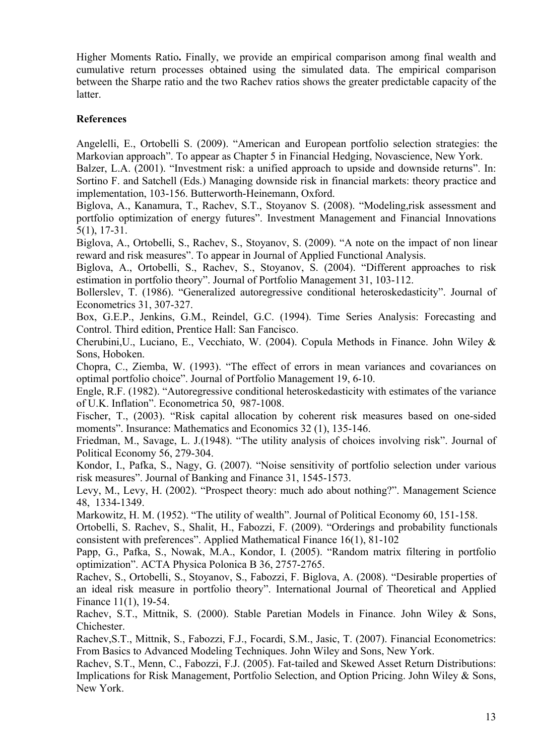Higher Moments Ratio**.** Finally, we provide an empirical comparison among final wealth and cumulative return processes obtained using the simulated data. The empirical comparison between the Sharpe ratio and the two Rachev ratios shows the greater predictable capacity of the latter.

# **References**

Angelelli, E., Ortobelli S. (2009). "American and European portfolio selection strategies: the Markovian approach". To appear as Chapter 5 in Financial Hedging, Novascience, New York.

Balzer, L.A. (2001). "Investment risk: a unified approach to upside and downside returns". In: Sortino F. and Satchell (Eds.) Managing downside risk in financial markets: theory practice and implementation, 103-156. Butterworth-Heinemann, Oxford.

Biglova, A., Kanamura, T., Rachev, S.T., Stoyanov S. (2008). "Modeling,risk assessment and portfolio optimization of energy futures". Investment Management and Financial Innovations 5(1), 17-31.

Biglova, A., Ortobelli, S., Rachev, S., Stoyanov, S. (2009). "A note on the impact of non linear reward and risk measures". To appear in Journal of Applied Functional Analysis.

Biglova, A., Ortobelli, S., Rachev, S., Stoyanov, S. (2004). "Different approaches to risk estimation in portfolio theory". Journal of Portfolio Management 31, 103-112.

Bollerslev, T. (1986). "Generalized autoregressive conditional heteroskedasticity". Journal of Econometrics 31, 307-327.

Box, G.E.P., Jenkins, G.M., Reindel, G.C. (1994). Time Series Analysis: Forecasting and Control. Third edition, Prentice Hall: San Fancisco.

Cherubini,U., Luciano, E., Vecchiato, W. (2004). Copula Methods in Finance. John Wiley & Sons, Hoboken.

Chopra, C., Ziemba, W. (1993). "The effect of errors in mean variances and covariances on optimal portfolio choice". Journal of Portfolio Management 19, 6-10.

Engle, R.F. (1982). "Autoregressive conditional heteroskedasticity with estimates of the variance of U.K. Inflation". Econometrica 50, 987-1008.

Fischer, T., (2003). "Risk capital allocation by coherent risk measures based on one-sided moments". Insurance: Mathematics and Economics 32 (1), 135-146.

Friedman, M., Savage, L. J.(1948). "The utility analysis of choices involving risk". Journal of Political Economy 56, 279-304.

Kondor, I., Pafka, S., Nagy, G. (2007). "Noise sensitivity of portfolio selection under various risk measures". Journal of Banking and Finance 31, 1545-1573.

Levy, M., Levy, H. (2002). "Prospect theory: much ado about nothing?". Management Science 48, 1334-1349.

Markowitz, H. M. (1952). "The utility of wealth". Journal of Political Economy 60, 151-158.

Ortobelli, S. Rachev, S., Shalit, H., Fabozzi, F. (2009). "Orderings and probability functionals consistent with preferences". Applied Mathematical Finance 16(1), 81-102

Papp, G., Pafka, S., Nowak, M.A., Kondor, I. (2005). "Random matrix filtering in portfolio optimization". ACTA Physica Polonica B 36, 2757-2765.

Rachev, S., Ortobelli, S., Stoyanov, S., Fabozzi, F. Biglova, A. (2008). "Desirable properties of an ideal risk measure in portfolio theory". International Journal of Theoretical and Applied Finance 11(1), 19-54.

Rachev, S.T., Mittnik, S. (2000). Stable Paretian Models in Finance. John Wiley & Sons, Chichester.

Rachev,S.T., Mittnik, S., Fabozzi, F.J., Focardi, S.M., Jasic, T. (2007). Financial Econometrics: From Basics to Advanced Modeling Techniques. John Wiley and Sons, New York.

Rachev, S.T., Menn, C., Fabozzi, F.J. (2005). Fat-tailed and Skewed Asset Return Distributions: Implications for Risk Management, Portfolio Selection, and Option Pricing. John Wiley & Sons, New York.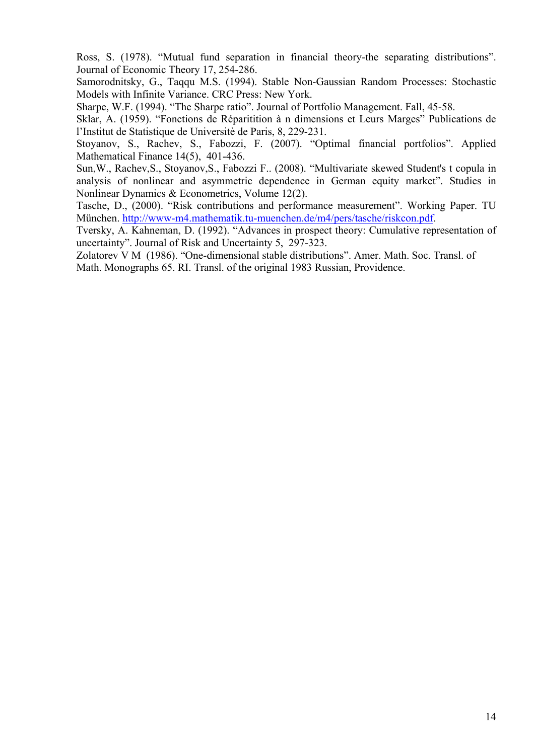Ross, S. (1978). "Mutual fund separation in financial theory-the separating distributions". Journal of Economic Theory 17, 254-286.

Samorodnitsky, G., Taqqu M.S. (1994). Stable Non-Gaussian Random Processes: Stochastic Models with Infinite Variance. CRC Press: New York.

Sharpe, W.F. (1994). "The Sharpe ratio". Journal of Portfolio Management. Fall, 45-58.

Sklar, A. (1959). "Fonctions de Réparitition à n dimensions et Leurs Marges" Publications de l'Institut de Statistique de Universitè de Paris, 8, 229-231.

Stoyanov, S., Rachev, S., Fabozzi, F. (2007). "Optimal financial portfolios". Applied Mathematical Finance 14(5), 401-436.

Sun,W., Rachev,S., Stoyanov,S., Fabozzi F.. (2008). "Multivariate skewed Student's t copula in analysis of nonlinear and asymmetric dependence in German equity market". Studies in Nonlinear Dynamics & Econometrics, Volume 12(2).

Tasche, D., (2000). "Risk contributions and performance measurement". Working Paper. TU München. http://www-m4.mathematik.tu-muenchen.de/m4/pers/tasche/riskcon.pdf.

Tversky, A. Kahneman, D. (1992). "Advances in prospect theory: Cumulative representation of uncertainty". Journal of Risk and Uncertainty 5, 297-323.

Zolatorev V M (1986). "One-dimensional stable distributions". Amer. Math. Soc. Transl. of Math. Monographs 65. RI. Transl. of the original 1983 Russian, Providence.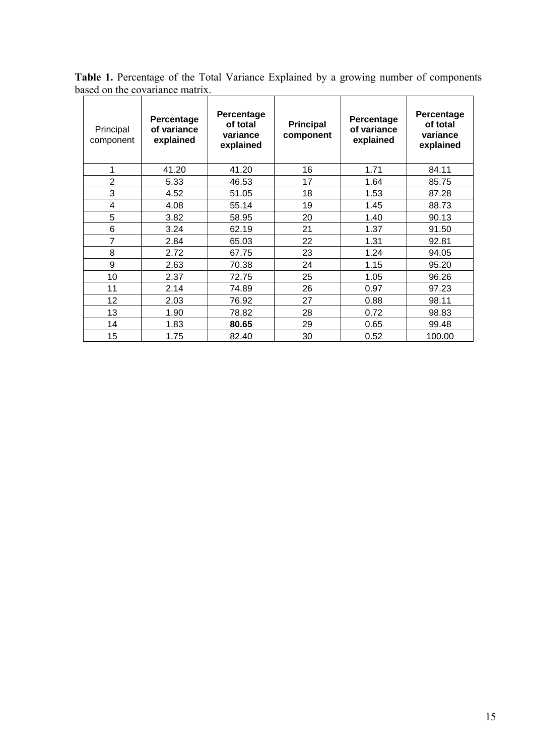**Table 1.** Percentage of the Total Variance Explained by a growing number of components based on the covariance matrix.

| Principal<br>component | Percentage<br>of variance<br>explained | Percentage<br>of total<br>variance<br>explained | <b>Principal</b><br>component | Percentage<br>of variance<br>explained | Percentage<br>of total<br>variance<br>explained |
|------------------------|----------------------------------------|-------------------------------------------------|-------------------------------|----------------------------------------|-------------------------------------------------|
| 1                      | 41.20                                  | 41.20                                           | 16                            | 1.71                                   | 84.11                                           |
| $\overline{2}$         | 5.33                                   | 46.53                                           | 17                            | 1.64                                   | 85.75                                           |
| 3                      | 4.52                                   | 51.05                                           | 18                            | 1.53                                   | 87.28                                           |
| 4                      | 4.08                                   | 55.14                                           | 19                            | 1.45                                   | 88.73                                           |
| 5                      | 3.82                                   | 58.95                                           | 20                            | 1.40                                   | 90.13                                           |
| 6                      | 3.24                                   | 62.19                                           | 21                            | 1.37                                   | 91.50                                           |
| 7                      | 2.84                                   | 65.03                                           | 22                            | 1.31                                   | 92.81                                           |
| 8                      | 2.72                                   | 67.75                                           | 23                            | 1.24                                   | 94.05                                           |
| 9                      | 2.63                                   | 70.38                                           | 24                            | 1.15                                   | 95.20                                           |
| 10                     | 2.37                                   | 72.75                                           | 25                            | 1.05                                   | 96.26                                           |
| 11                     | 2.14                                   | 74.89                                           | 26                            | 0.97                                   | 97.23                                           |
| 12                     | 2.03                                   | 76.92                                           | 27                            | 0.88                                   | 98.11                                           |
| 13                     | 1.90                                   | 78.82                                           | 28                            | 0.72                                   | 98.83                                           |
| 14                     | 1.83                                   | 80.65                                           | 29                            | 0.65                                   | 99.48                                           |
| 15                     | 1.75                                   | 82.40                                           | 30                            | 0.52                                   | 100.00                                          |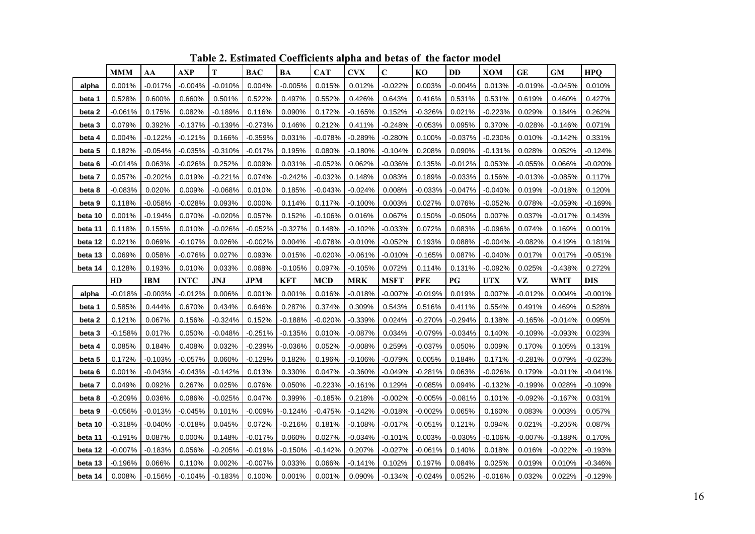|         | <b>MMM</b> | AA        | <b>AXP</b>  | T          | <b>BAC</b> | BA        | <b>CAT</b> | <b>CVX</b> | C           | KO         | <b>DD</b>  | <b>XOM</b> | GE         | <b>GM</b>  | <b>HPQ</b> |
|---------|------------|-----------|-------------|------------|------------|-----------|------------|------------|-------------|------------|------------|------------|------------|------------|------------|
| alpha   | 0.001%     | $-0.017%$ | $-0.004%$   | $-0.010%$  | 0.004%     | $-0.005%$ | 0.015%     | 0.012%     | $-0.022%$   | 0.003%     | $-0.004%$  | 0.013%     | $-0.019%$  | $-0.045%$  | 0.010%     |
| beta 1  | 0.528%     | 0.600%    | 0.660%      | 0.501%     | 0.522%     | 0.497%    | 0.552%     | 0.426%     | 0.643%      | 0.416%     | 0.531%     | 0.531%     | 0.619%     | 0.460%     | 0.427%     |
| beta 2  | $-0.061\%$ | 0.175%    | 0.082%      | $-0.189%$  | 0.116%     | 0.090%    | 0.172%     | $-0.165%$  | 0.152%      | $-0.326%$  | 0.021%     | $-0.223%$  | 0.029%     | 0.184%     | 0.262%     |
| beta 3  | 0.079%     | 0.392%    | -0.137%     | -0.139%    | -0.273%    | 0.146%    | 0.212%     | 0.411%     | -0.248%     | -0.053%    | 0.095%     | 0.370%     | $-0.028%$  | -0.146%    | 0.071%     |
| beta 4  | 0.004%     | $-0.122%$ | -0.121%     | 0.166%     | $-0.359%$  | 0.031%    | -0.078%    | -0.289%    | $-0.280%$   | 0.100%     | -0.037%    | $-0.230%$  | 0.010%     | -0.142%    | 0.331%     |
| beta 5  | 0.182%     | $-0.054%$ | $-0.035\%$  | $-0.310%$  | $-0.017%$  | 0.195%    | 0.080%     | $-0.180%$  | $-0.104%$   | 0.208%     | 0.090%     | -0.131%    | 0.028%     | 0.052%     | $-0.124%$  |
| beta 6  | -0.014%    | 0.063%    | -0.026%     | 0.252%     | 0.009%     | 0.031%    | -0.052%    | 0.062%     | -0.036%     | 0.135%     | -0.012%    | 0.053%     | $-0.055\%$ | 0.066%     | -0.020%    |
| beta 7  | 0.057%     | $-0.202%$ | 0.019%      | $-0.221%$  | 0.074%     | $-0.242%$ | $-0.032\%$ | 0.148%     | 0.083%      | 0.189%     | $-0.033\%$ | 0.156%     | -0.013%    | $-0.085\%$ | 0.117%     |
| beta 8  | $-0.083%$  | 0.020%    | 0.009%      | $-0.068%$  | 0.010%     | 0.185%    | -0.043%    | $-0.024%$  | 0.008%      | -0.033%    | $-0.047%$  | $-0.040%$  | 0.019%     | $-0.018%$  | 0.120%     |
| beta 9  | 0.118%     | -0.058%   | -0.028%     | 0.093%     | 0.000%     | 0.114%    | 0.117%     | $-0.100%$  | 0.003%      | 0.027%     | 0.076%     | -0.052%    | 0.078%     | -0.059%    | -0.169%    |
| beta 10 | 0.001%     | -0.194%   | 0.070%      | $-0.020\%$ | 0.057%     | 0.152%    | $-0.106%$  | 0.016%     | 0.067%      | 0.150%     | $-0.050\%$ | 0.007%     | 0.037%     | -0.017%    | 0.143%     |
| beta 11 | 0.118%     | 0.155%    | 0.010%      | $-0.026%$  | $-0.052%$  | $-0.327%$ | 0.148%     | $-0.102%$  | $-0.033%$   | 0.072%     | 0.083%     | $-0.096%$  | 0.074%     | 0.169%     | 0.001%     |
| beta 12 | 0.021%     | 0.069%    | -0.107%     | 0.026%     | -0.002%    | 0.004%    | -0.078%    | -0.010%    | -0.052%     | 0.193%     | 0.088%     | -0.004%    | $-0.082%$  | 0.419%     | 0.181%     |
| beta 13 | 0.069%     | 0.058%    | -0.076%     | 0.027%     | 0.093%     | 0.015%    | $-0.020\%$ | -0.061%    | -0.010%     | -0.165%    | 0.087%     | -0.040%    | 0.017%     | 0.017%     | -0.051%    |
| beta 14 | 0.128%     | 0.193%    | 0.010%      | 0.033%     | 0.068%     | $-0.105%$ | 0.097%     | $-0.105%$  | 0.072%      | 0.114%     | 0.131%     | $-0.092%$  | 0.025%     | $-0.438%$  | 0.272%     |
|         |            |           |             |            |            |           |            |            |             |            |            |            |            |            |            |
|         | HD         | IBM       | <b>INTC</b> | JNJ        | <b>JPM</b> | KFT       | <b>MCD</b> | <b>MRK</b> | <b>MSFT</b> | <b>PFE</b> | PG         | <b>UTX</b> | VZ         | <b>WMT</b> | <b>DIS</b> |
| alpha   | $-0.018%$  | -0.003%   | $-0.012%$   | 0.006%     | 0.001%     | 0.001%    | 0.016%     | $-0.018%$  | -0.007%     | -0.019%    | 0.019%     | 0.007%     | -0.012%    | 0.004%     | -0.001%    |
| beta 1  | 0.585%     | 0.444%    | 0.670%      | 0.434%     | 0.646%     | 0.287%    | 0.374%     | 0.309%     | 0.543%      | 0.516%     | 0.411%     | 0.554%     | 0.491%     | 0.469%     | 0.528%     |
| beta 2  | 0.121%     | 0.067%    | 0.156%      | -0.324%    | 0.152%     | -0.188%   | -0.020%    | -0.339%    | 0.024%      | -0.270%    | $-0.294%$  | 0.138%     | $-0.165%$  | -0.014%    | 0.095%     |
| beta 3  | $-0.158%$  | 0.017%    | 0.050%      | $-0.048%$  | $-0.251%$  | $-0.135%$ | 0.010%     | $-0.087%$  | 0.034%      | -0.079%    | -0.034%    | 0.140%     | -0.109%    | -0.093%    | 0.023%     |
| beta 4  | 0.085%     | 0.184%    | 0.408%      | 0.032%     | $-0.239%$  | $-0.036%$ | 0.052%     | $-0.008%$  | 0.259%      | -0.037%    | 0.050%     | 0.009%     | 0.170%     | 0.105%     | 0.131%     |
| beta 5  | 0.172%     | -0.103%   | -0.057%     | 0.060%     | -0.129%    | 0.182%    | 0.196%     | $-0.106%$  | -0.079%     | 0.005%     | 0.184%     | 0.171%     | -0.281%    | 0.079%     | -0.023%    |
| beta 6  | 0.001%     | $-0.043%$ | -0.043%     | $-0.142%$  | 0.013%     | 0.330%    | 0.047%     | $-0.360%$  | -0.049%     | -0.281%    | 0.063%     | $-0.026%$  | 0.179%     | -0.011%    | $-0.041%$  |
| beta 7  | 0.049%     | 0.092%    | 0.267%      | 0.025%     | 0.076%     | 0.050%    | $-0.223%$  | $-0.161%$  | 0.129%      | $-0.085%$  | 0.094%     | $-0.132%$  | $-0.199%$  | 0.028%     | $-0.109%$  |
| beta 8  | -0.209%    | 0.036%    | 0.086%      | $-0.025%$  | 0.047%     | 0.399%    | -0.185%    | 0.218%     | -0.002%     | -0.005%    | $-0.081%$  | 0.101%     | $-0.092%$  | $-0.167%$  | 0.031%     |
| beta 9  | $-0.056%$  | -0.013%   | $-0.045%$   | 0.101%     | $-0.009%$  | $-0.124%$ | $-0.475%$  | $-0.142%$  | -0.018%     | -0.002%    | 0.065%     | 0.160%     | 0.083%     | 0.003%     | 0.057%     |
| beta 10 | -0.318%    | $-0.040%$ | $-0.018%$   | 0.045%     | 0.072%     | $-0.216%$ | 0.181%     | $-0.108%$  | $-0.017%$   | -0.051%    | 0.121%     | 0.094%     | 0.021%     | $-0.205%$  | 0.087%     |
| beta 11 | -0.191%    | 0.087%    | $0.000\%$   | 0.148%     | -0.017%    | 0.060%    | 0.027%     | $-0.034%$  | -0.101%     | 0.003%     | $-0.030%$  | -0.106%    | $-0.007\%$ | -0.188%    | 0.170%     |
| beta 12 | $-0.007\%$ | $-0.183%$ | 0.056%      | $-0.205%$  | $-0.019%$  | -0.150%   | $-0.142%$  | 0.207%     | $-0.027%$   | $-0.061%$  | 0.140%     | 0.018%     | 0.016%     | $-0.022%$  | -0.193%    |
| beta 13 | $-0.196%$  | 0.066%    | 0.110%      | 0.002%     | $-0.007%$  | 0.033%    | 0.066%     | $-0.141%$  | 0.102%      | 0.197%     | 0.084%     | 0.025%     | 0.019%     | 0.010%     | $-0.346%$  |

**Table 2. Estimated Coefficients alpha and betas of the factor model**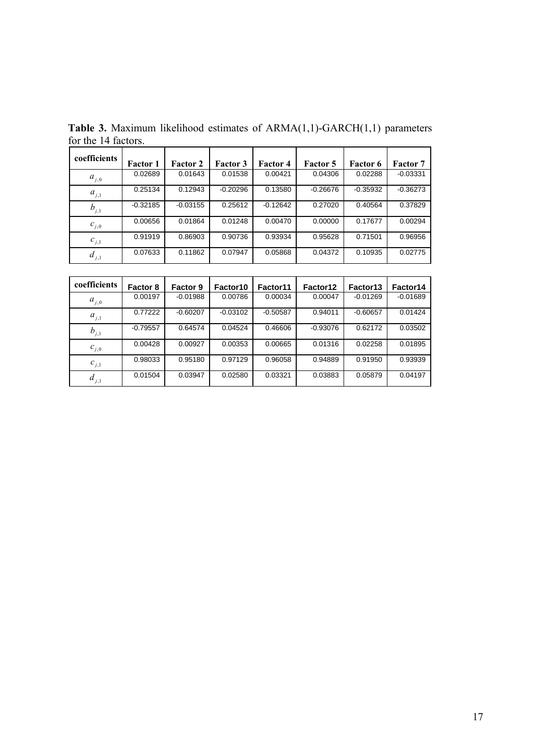| coefficients | <b>Factor 1</b> | <b>Factor 2</b> | <b>Factor 3</b> | <b>Factor 4</b> | Factor 5   | <b>Factor</b> 6 | <b>Factor 7</b> |
|--------------|-----------------|-----------------|-----------------|-----------------|------------|-----------------|-----------------|
| $a_{j,0}$    | 0.02689         | 0.01643         | 0.01538         | 0.00421         | 0.04306    | 0.02288         | $-0.03331$      |
| $a_{j,1}$    | 0.25134         | 0.12943         | $-0.20296$      | 0.13580         | $-0.26676$ | $-0.35932$      | $-0.36273$      |
| $b_{j,1}$    | $-0.32185$      | $-0.03155$      | 0.25612         | $-0.12642$      | 0.27020    | 0.40564         | 0.37829         |
| $c_{j,0}$    | 0.00656         | 0.01864         | 0.01248         | 0.00470         | 0.00000    | 0.17677         | 0.00294         |
| $c_{j,1}$    | 0.91919         | 0.86903         | 0.90736         | 0.93934         | 0.95628    | 0.71501         | 0.96956         |
| $d_{j,1}$    | 0.07633         | 0.11862         | 0.07947         | 0.05868         | 0.04372    | 0.10935         | 0.02775         |

**Table 3.** Maximum likelihood estimates of ARMA(1,1)-GARCH(1,1) parameters for the 14 factors.

| coefficients | Factor 8   | Factor 9   | Factor10   | Factor11   | Factor12   | Factor <sub>13</sub> | Factor14   |
|--------------|------------|------------|------------|------------|------------|----------------------|------------|
| $a_{j,0}$    | 0.00197    | $-0.01988$ | 0.00786    | 0.00034    | 0.00047    | $-0.01269$           | $-0.01689$ |
| $a_{j,1}$    | 0.77222    | $-0.60207$ | $-0.03102$ | $-0.50587$ | 0.94011    | $-0.60657$           | 0.01424    |
| $b_{j,1}$    | $-0.79557$ | 0.64574    | 0.04524    | 0.46606    | $-0.93076$ | 0.62172              | 0.03502    |
| $c_{j,0}$    | 0.00428    | 0.00927    | 0.00353    | 0.00665    | 0.01316    | 0.02258              | 0.01895    |
| $c_{j,1}$    | 0.98033    | 0.95180    | 0.97129    | 0.96058    | 0.94889    | 0.91950              | 0.93939    |
| $d_{j,1}$    | 0.01504    | 0.03947    | 0.02580    | 0.03321    | 0.03883    | 0.05879              | 0.04197    |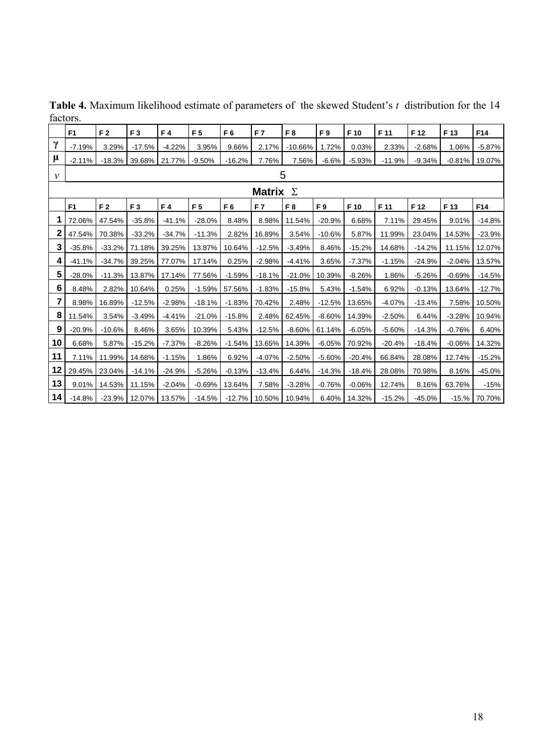|              | F <sub>1</sub>  | F <sub>2</sub> | F <sub>3</sub> | F 4      | F <sub>5</sub> | F <sub>6</sub> | F <sub>7</sub> | F <sub>8</sub> | F <sub>9</sub> | F 10     | F 11     | F 12     | F 13     | F14             |
|--------------|-----------------|----------------|----------------|----------|----------------|----------------|----------------|----------------|----------------|----------|----------|----------|----------|-----------------|
| γ            | $-7.19%$        | 3.29%          | $-17.5%$       | $-4.22%$ | 3.95%          | 9.66%          | 2.17%          | $-10.66%$      | 1.72%          | 0.03%    | 2.33%    | $-2.68%$ | 1.06%    | $-5.87%$        |
| μ            | $-2.11%$        | $-18.3%$       | 39.68%         | 21.77%   | $-9.50%$       | $-16.2%$       | 7.76%          | 7.56%          | $-6.6%$        | $-5.93%$ | $-11.9%$ | $-9.34%$ | $-0.81%$ | 19.07%          |
| $\mathcal V$ |                 |                |                |          |                |                |                | 5              |                |          |          |          |          |                 |
|              | Matrix $\Sigma$ |                |                |          |                |                |                |                |                |          |          |          |          |                 |
|              | F <sub>1</sub>  | F <sub>2</sub> | F <sub>3</sub> | F4       | F <sub>5</sub> | F <sub>6</sub> | F <sub>7</sub> | F <sub>8</sub> | F <sub>9</sub> | F 10     | F 11     | F 12     | F 13     | F <sub>14</sub> |
|              | 72.06%          | 47.54%         | $-35.8%$       | $-41.1%$ | $-28.0%$       | 8.48%          | 8.98%          | 11.54%         | $-20.9%$       | 6.68%    | 7.11%    | 29.45%   | 9.01%    | $-14.8%$        |
| 2            | 47.54%          | 70.38%         | $-33.2%$       | $-34.7%$ | $-11.3%$       | 2.82%          | 16.89%         | 3.54%          | $-10.6%$       | 5.87%    | 11.99%   | 23.04%   | 14.53%   | $-23.9%$        |
| 3            | $-35.8%$        | $-33.2%$       | 71.18%         | 39.25%   | 13.87%         | 10.64%         | $-12.5%$       | $-3.49%$       | 8.46%          | $-15.2%$ | 14.68%   | $-14.2%$ | 11.15%   | 12.07%          |
| 4            | $-41.1%$        | $-34.7%$       | 39.25%         | 77.07%   | 17.14%         | 0.25%          | $-2.98%$       | $-4.41%$       | 3.65%          | $-7.37%$ | $-1.15%$ | $-24.9%$ | $-2.04%$ | 13.57%          |
| 5            | $-28.0%$        | $-11.3%$       | 13.87%         | 17.14%   | 77.56%         | $-1.59%$       | $-18.1%$       | $-21.0%$       | 10.39%         | $-8.26%$ | 1.86%    | $-5.26%$ | $-0.69%$ | $-14.5%$        |
| 6            | 8.48%           | 2.82%          | 10.64%         | 0.25%    | $-1.59%$       | 57.56%         | $-1.83%$       | $-15.8%$       | 5.43%          | $-1.54%$ | 6.92%    | $-0.13%$ | 13.64%   | $-12.7%$        |
| 7            | 8.98%           | 16.89%         | $-12.5%$       | $-2.98%$ | $-18.1%$       | $-1.83%$       | 70.42%         | 2.48%          | $-12.5%$       | 13.65%   | $-4.07%$ | $-13.4%$ | 7.58%    | 10.50%          |
| 8            | 11.54%          | 3.54%          | $-3.49%$       | $-4.41%$ | $-21.0%$       | $-15.8%$       | 2.48%          | 62.45%         | $-8.60%$       | 14.39%   | $-2.50%$ | 6.44%    | $-3.28%$ | 10.94%          |
| 9            | $-20.9%$        | $-10.6%$       | 8.46%          | 3.65%    | 10.39%         | 5.43%          | $-12.5%$       | $-8.60%$       | 61.14%         | $-6.05%$ | $-5.60%$ | $-14.3%$ | $-0.76%$ | 6.40%           |
| 10           | 6.68%           | 5.87%          | $-15.2%$       | $-7.37%$ | $-8.26%$       | $-1.54%$       | 13.65%         | 14.39%         | $-6.05%$       | 70.92%   | $-20.4%$ | $-18.4%$ | $-0.06%$ | 14.32%          |
| 11           | 7.11%           | 11.99%         | 14.68%         | $-1.15%$ | 1.86%          | 6.92%          | $-4.07%$       | $-2.50%$       | $-5.60%$       | $-20.4%$ | 66.84%   | 28.08%   | 12.74%   | $-15.2%$        |
| 12           | 29.45%          | 23.04%         | $-14.1%$       | $-24.9%$ | $-5.26%$       | $-0.13%$       | $-13.4%$       | 6.44%          | $-14.3%$       | $-18.4%$ | 28.08%   | 70.98%   | 8.16%    | $-45.0%$        |
| 13           | 9.01%           | 14.53%         | 11.15%         | $-2.04%$ | $-0.69%$       | 13.64%         | 7.58%          | $-3.28%$       | $-0.76%$       | $-0.06%$ | 12.74%   | 8.16%    | 63.76%   | $-15%$          |
| 14           | $-14.8%$        | $-23.9%$       | 12.07%         | 13.57%   | $-14.5%$       | $-12.7%$       | 10.50%         | 10.94%         | 6.40%          | 14.32%   | $-15.2%$ | $-45.0%$ | $-15.%$  | 70.70%          |

**Table 4.** Maximum likelihood estimate of parameters of the skewed Student's *t* distribution for the 14 factors.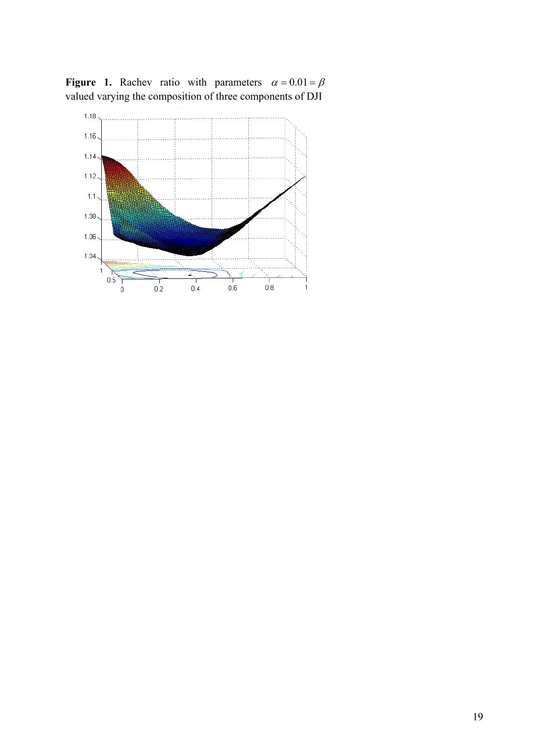

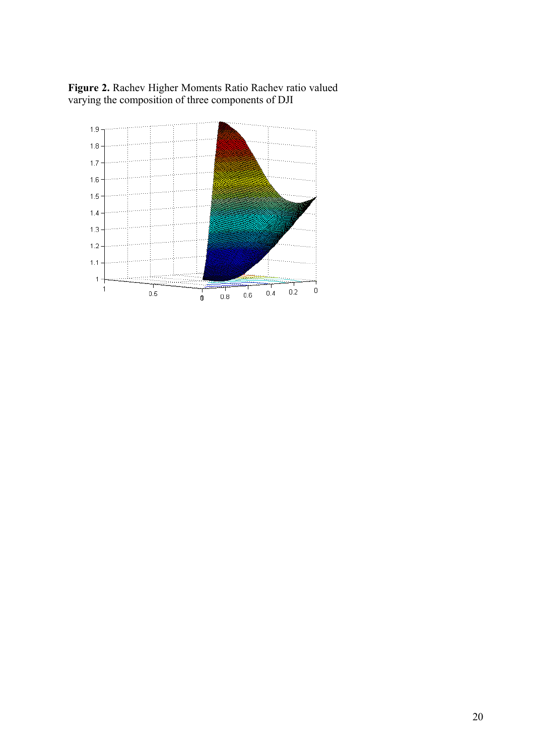

**Figure 2.** Rachev Higher Moments Ratio Rachev ratio valued varying the composition of three components of DJI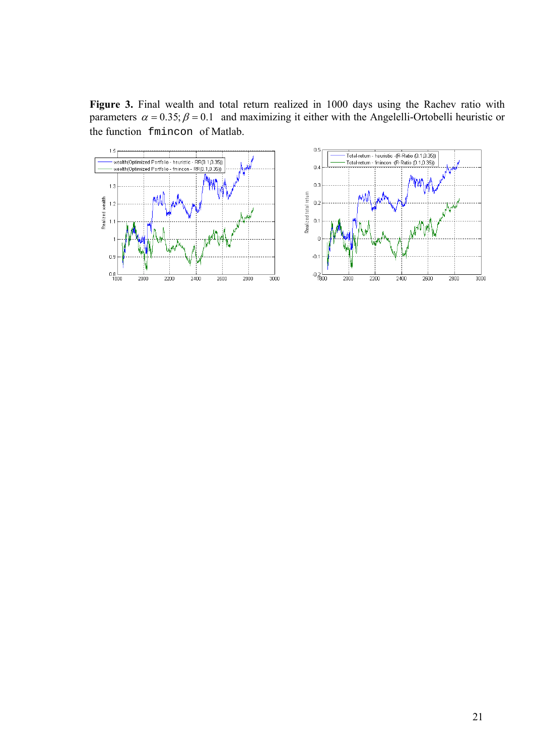Figure 3. Final wealth and total return realized in 1000 days using the Rachev ratio with parameters  $\alpha = 0.35$ ;  $\beta = 0.1$  and maximizing it either with the Angelelli-Ortobelli heuristic or the function fmincon of Matlab.

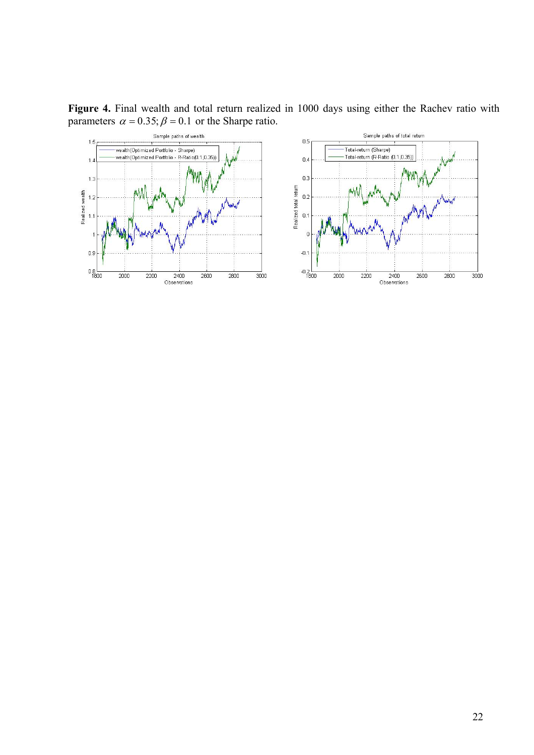**Figure 4.** Final wealth and total return realized in 1000 days using either the Rachev ratio with parameters  $\alpha = 0.35$ ;  $\beta = 0.1$  or the Sharpe ratio.